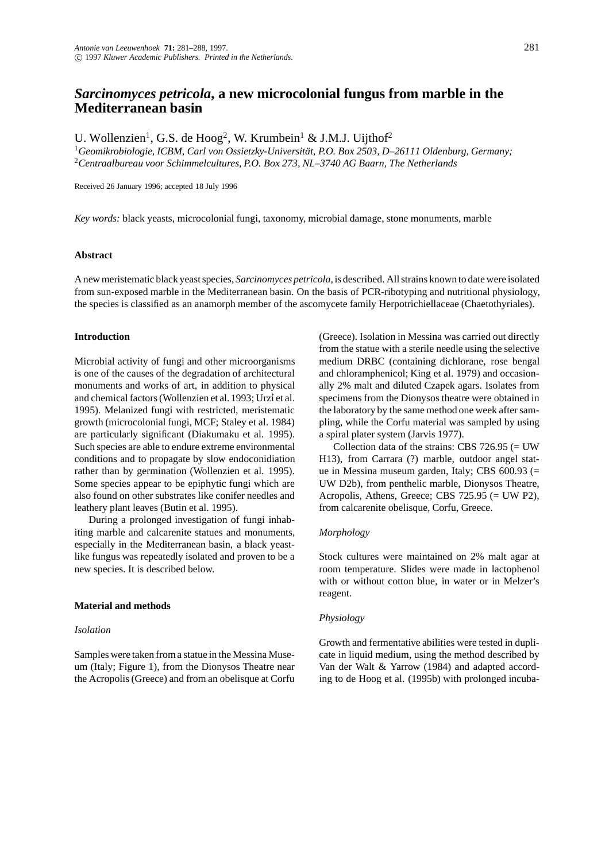# *Sarcinomyces petricola***, a new microcolonial fungus from marble in the Mediterranean basin**

U. Wollenzien<sup>1</sup>, G.S. de Hoog<sup>2</sup>, W. Krumbein<sup>1</sup> & J.M.J. Uijthof<sup>2</sup>

<sup>1</sup>*Geomikrobiologie, ICBM, Carl von Ossietzky-Universitat, P.O. Box 2503, D–26111 Oldenburg, Germany; ¨* <sup>2</sup>*Centraalbureau voor Schimmelcultures, P.O. Box 273, NL–3740 AG Baarn, The Netherlands*

Received 26 January 1996; accepted 18 July 1996

*Key words:* black yeasts, microcolonial fungi, taxonomy, microbial damage, stone monuments, marble

# **Abstract**

A new meristematic black yeast species, *Sarcinomyces petricola,* is described. All strains known to date were isolated from sun-exposed marble in the Mediterranean basin. On the basis of PCR-ribotyping and nutritional physiology, the species is classified as an anamorph member of the ascomycete family Herpotrichiellaceae (Chaetothyriales).

### **Introduction**

Microbial activity of fungi and other microorganisms is one of the causes of the degradation of architectural monuments and works of art, in addition to physical and chemical factors (Wollenzien et al. 1993; Urzì et al. 1995). Melanized fungi with restricted, meristematic growth (microcolonial fungi, MCF; Staley et al. 1984) are particularly significant (Diakumaku et al. 1995). Such species are able to endure extreme environmental conditions and to propagate by slow endoconidiation rather than by germination (Wollenzien et al. 1995). Some species appear to be epiphytic fungi which are also found on other substrates like conifer needles and leathery plant leaves (Butin et al. 1995).

During a prolonged investigation of fungi inhabiting marble and calcarenite statues and monuments, especially in the Mediterranean basin, a black yeastlike fungus was repeatedly isolated and proven to be a new species. It is described below.

## **Material and methods**

# *Isolation*

Samples were taken from a statue in the Messina Museum (Italy; Figure 1), from the Dionysos Theatre near the Acropolis (Greece) and from an obelisque at Corfu

(Greece). Isolation in Messina was carried out directly from the statue with a sterile needle using the selective medium DRBC (containing dichlorane, rose bengal and chloramphenicol; King et al. 1979) and occasionally 2% malt and diluted Czapek agars. Isolates from specimens from the Dionysos theatre were obtained in the laboratory by the same method one week after sampling, while the Corfu material was sampled by using a spiral plater system (Jarvis 1977).

Collection data of the strains: CBS 726.95 (= UW H13), from Carrara (?) marble, outdoor angel statue in Messina museum garden, Italy; CBS 600.93 (= UW D2b), from penthelic marble, Dionysos Theatre, Acropolis, Athens, Greece; CBS 725.95 (= UW P2), from calcarenite obelisque, Corfu, Greece.

### *Morphology*

Stock cultures were maintained on 2% malt agar at room temperature. Slides were made in lactophenol with or without cotton blue, in water or in Melzer's reagent.

#### *Physiology*

Growth and fermentative abilities were tested in duplicate in liquid medium, using the method described by Van der Walt & Yarrow (1984) and adapted according to de Hoog et al. (1995b) with prolonged incuba-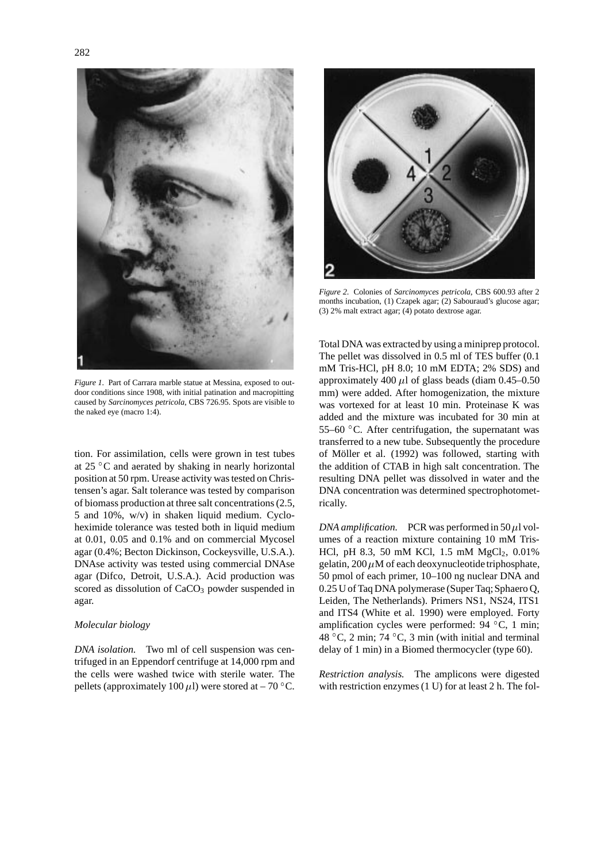

*Figure 1*. Part of Carrara marble statue at Messina, exposed to outdoor conditions since 1908, with initial patination and macropitting caused by *Sarcinomyces petricola*, CBS 726.95. Spots are visible to the naked eye (macro 1:4).

tion. For assimilation, cells were grown in test tubes at 25 C and aerated by shaking in nearly horizontal position at 50 rpm. Urease activity was tested on Christensen's agar. Salt tolerance was tested by comparison of biomass production at three salt concentrations (2.5, 5 and 10%, w/v) in shaken liquid medium. Cycloheximide tolerance was tested both in liquid medium at 0.01, 0.05 and 0.1% and on commercial Mycosel agar (0.4%; Becton Dickinson, Cockeysville, U.S.A.). DNAse activity was tested using commercial DNAse agar (Difco, Detroit, U.S.A.). Acid production was scored as dissolution of  $CaCO<sub>3</sub>$  powder suspended in agar.

# *Molecular biology*

*DNA isolation.* Two ml of cell suspension was centrifuged in an Eppendorf centrifuge at 14,000 rpm and the cells were washed twice with sterile water. The pellets (approximately 100  $\mu$ ) were stored at – 70 °C.



*Figure 2*. Colonies of *Sarcinomyces petricola*, CBS 600.93 after 2 months incubation, (1) Czapek agar; (2) Sabouraud's glucose agar; (3) 2% malt extract agar; (4) potato dextrose agar.

Total DNA was extracted by using a miniprep protocol. The pellet was dissolved in 0.5 ml of TES buffer (0.1 mM Tris-HCl, pH 8.0; 10 mM EDTA; 2% SDS) and approximately 400  $\mu$ l of glass beads (diam 0.45–0.50 mm) were added. After homogenization, the mixture was vortexed for at least 10 min. Proteinase K was added and the mixture was incubated for 30 min at 55–60 C. After centrifugation, the supernatant was transferred to a new tube. Subsequently the procedure of Möller et al. (1992) was followed, starting with the addition of CTAB in high salt concentration. The resulting DNA pellet was dissolved in water and the DNA concentration was determined spectrophotometrically.

*DNA amplification.* PCR was performed in 50  $\mu$ l volumes of a reaction mixture containing 10 mM Tris-HCl, pH 8.3, 50 mM KCl, 1.5 mM  $MgCl<sub>2</sub>$ , 0.01% gelatin, 200  $\mu$ M of each deoxynucleotide triphosphate, 50 pmol of each primer, 10–100 ng nuclear DNA and 0.25 U of Taq DNA polymerase (Super Taq; Sphaero O, Leiden, The Netherlands). Primers NS1, NS24, ITS1 and ITS4 (White et al. 1990) were employed. Forty amplification cycles were performed:  $94 °C$ , 1 min; 48 °C, 2 min; 74 °C, 3 min (with initial and terminal delay of 1 min) in a Biomed thermocycler (type 60).

*Restriction analysis.* The amplicons were digested with restriction enzymes (1 U) for at least 2 h. The fol-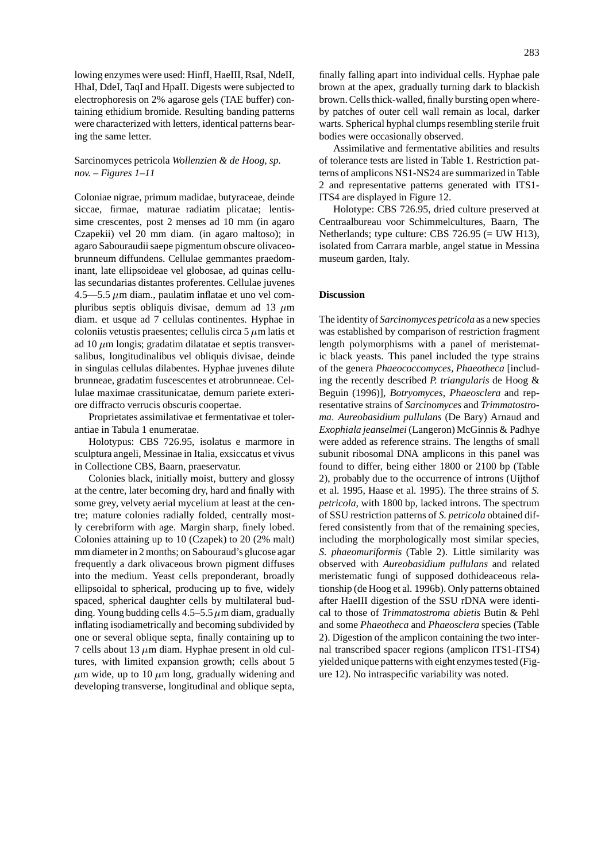lowing enzymes were used: HinfI, HaeIII, RsaI, NdeII, HhaI, DdeI, TaqI and HpaII. Digests were subjected to electrophoresis on 2% agarose gels (TAE buffer) containing ethidium bromide. Resulting banding patterns were characterized with letters, identical patterns bearing the same letter.

# Sarcinomyces petricola *Wollenzien & de Hoog, sp. nov. – Figures 1–11*

Coloniae nigrae, primum madidae, butyraceae, deinde siccae, firmae, maturae radiatim plicatae; lentissime crescentes, post 2 menses ad 10 mm (in agaro Czapekii) vel 20 mm diam. (in agaro maltoso); in agaro Sabouraudii saepe pigmentum obscure olivaceobrunneum diffundens. Cellulae gemmantes praedominant, late ellipsoideae vel globosae, ad quinas cellulas secundarias distantes proferentes. Cellulae juvenes 4.5—5.5  $\mu$ m diam., paulatim inflatae et uno vel compluribus septis obliquis divisae, demum ad 13  $\mu$ m diam. et usque ad 7 cellulas continentes. Hyphae in coloniis vetustis praesentes; cellulis circa 5  $\mu$ m latis et ad 10  $\mu$ m longis; gradatim dilatatae et septis transversalibus, longitudinalibus vel obliquis divisae, deinde in singulas cellulas dilabentes. Hyphae juvenes dilute brunneae, gradatim fuscescentes et atrobrunneae. Cellulae maximae crassitunicatae, demum pariete exteriore diffracto verrucis obscuris coopertae.

Proprietates assimilativae et fermentativae et tolerantiae in Tabula 1 enumeratae.

Holotypus: CBS 726.95, isolatus e marmore in sculptura angeli, Messinae in Italia, exsiccatus et vivus in Collectione CBS, Baarn, praeservatur.

Colonies black, initially moist, buttery and glossy at the centre, later becoming dry, hard and finally with some grey, velvety aerial mycelium at least at the centre; mature colonies radially folded, centrally mostly cerebriform with age. Margin sharp, finely lobed. Colonies attaining up to 10 (Czapek) to 20 (2% malt) mm diameter in 2 months; on Sabouraud's glucose agar frequently a dark olivaceous brown pigment diffuses into the medium. Yeast cells preponderant, broadly ellipsoidal to spherical, producing up to five, widely spaced, spherical daughter cells by multilateral budding. Young budding cells  $4.5-5.5 \mu$ m diam, gradually inflating isodiametrically and becoming subdivided by one or several oblique septa, finally containing up to 7 cells about 13  $\mu$ m diam. Hyphae present in old cultures, with limited expansion growth; cells about 5  $\mu$ m wide, up to 10  $\mu$ m long, gradually widening and developing transverse, longitudinal and oblique septa,

finally falling apart into individual cells. Hyphae pale brown at the apex, gradually turning dark to blackish brown. Cells thick-walled, finally bursting open whereby patches of outer cell wall remain as local, darker warts. Spherical hyphal clumps resembling sterile fruit bodies were occasionally observed.

Assimilative and fermentative abilities and results of tolerance tests are listed in Table 1. Restriction patterns of amplicons NS1-NS24 are summarized in Table 2 and representative patterns generated with ITS1- ITS4 are displayed in Figure 12.

Holotype: CBS 726.95, dried culture preserved at Centraalbureau voor Schimmelcultures, Baarn, The Netherlands; type culture: CBS 726.95 (= UW H13), isolated from Carrara marble, angel statue in Messina museum garden, Italy.

## **Discussion**

The identity of *Sarcinomyces petricola* as a new species was established by comparison of restriction fragment length polymorphisms with a panel of meristematic black yeasts. This panel included the type strains of the genera *Phaeococcomyces, Phaeotheca* [including the recently described *P. triangularis* de Hoog & Beguin (1996)], *Botryomyces, Phaeosclera* and representative strains of *Sarcinomyces* and *Trimmatostroma*. *Aureobasidium pullulans* (De Bary) Arnaud and *Exophiala jeanselmei* (Langeron) McGinnis & Padhye were added as reference strains. The lengths of small subunit ribosomal DNA amplicons in this panel was found to differ, being either 1800 or 2100 bp (Table 2), probably due to the occurrence of introns (Uijthof et al. 1995, Haase et al. 1995). The three strains of *S. petricola*, with 1800 bp, lacked introns. The spectrum of SSU restriction patterns of *S. petricola* obtained differed consistently from that of the remaining species, including the morphologically most similar species, *S. phaeomuriformis* (Table 2). Little similarity was observed with *Aureobasidium pullulans* and related meristematic fungi of supposed dothideaceous relationship (de Hoog et al. 1996b). Only patterns obtained after HaeIII digestion of the SSU rDNA were identical to those of *Trimmatostroma abietis* Butin & Pehl and some *Phaeotheca* and *Phaeosclera* species (Table 2). Digestion of the amplicon containing the two internal transcribed spacer regions (amplicon ITS1-ITS4) yielded unique patterns with eight enzymes tested (Figure 12). No intraspecific variability was noted.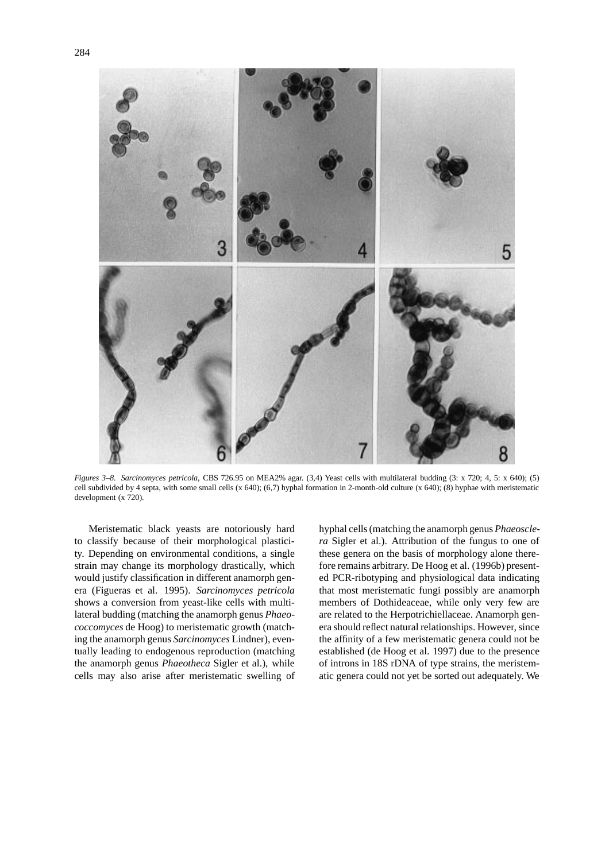

*Figures 3–8*. *Sarcinomyces petricola*, CBS 726.95 on MEA2% agar. (3,4) Yeast cells with multilateral budding (3: x 720; 4, 5: x 640); (5) cell subdivided by 4 septa, with some small cells (x 640); (6,7) hyphal formation in 2-month-old culture (x 640); (8) hyphae with meristematic development (x 720).

Meristematic black yeasts are notoriously hard to classify because of their morphological plasticity. Depending on environmental conditions, a single strain may change its morphology drastically, which would justify classification in different anamorph genera (Figueras et al. 1995). *Sarcinomyces petricola* shows a conversion from yeast-like cells with multilateral budding (matching the anamorph genus *Phaeococcomyces* de Hoog) to meristematic growth (matching the anamorph genus *Sarcinomyces* Lindner), eventually leading to endogenous reproduction (matching the anamorph genus *Phaeotheca* Sigler et al.), while cells may also arise after meristematic swelling of

hyphal cells (matching the anamorph genus *Phaeosclera* Sigler et al.). Attribution of the fungus to one of these genera on the basis of morphology alone therefore remains arbitrary. De Hoog et al. (1996b) presented PCR-ribotyping and physiological data indicating that most meristematic fungi possibly are anamorph members of Dothideaceae, while only very few are are related to the Herpotrichiellaceae. Anamorph genera should reflect natural relationships. However, since the affinity of a few meristematic genera could not be established (de Hoog et al. 1997) due to the presence of introns in 18S rDNA of type strains, the meristematic genera could not yet be sorted out adequately. We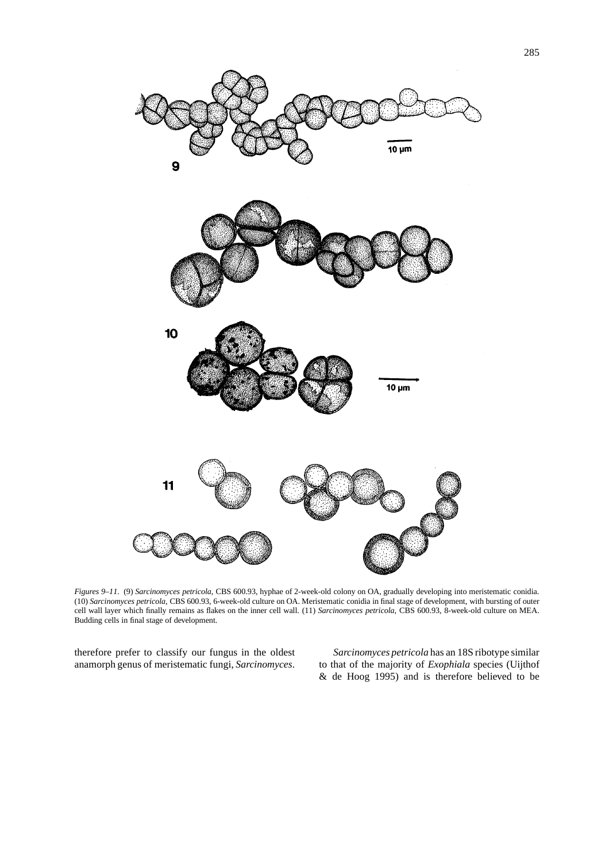

*Figures 9–11*. (9) *Sarcinomyces petricola*, CBS 600.93, hyphae of 2-week-old colony on OA, gradually developing into meristematic conidia. (10) *Sarcinomyces petricola*, CBS 600.93, 6-week-old culture on OA. Meristematic conidia in final stage of development, with bursting of outer cell wall layer which finally remains as flakes on the inner cell wall. (11) *Sarcinomyces petricola,* CBS 600.93, 8-week-old culture on MEA. Budding cells in final stage of development.

therefore prefer to classify our fungus in the oldest anamorph genus of meristematic fungi, *Sarcinomyces*.

*Sarcinomyces petricola* has an 18S ribotype similar to that of the majority of *Exophiala* species (Uijthof & de Hoog 1995) and is therefore believed to be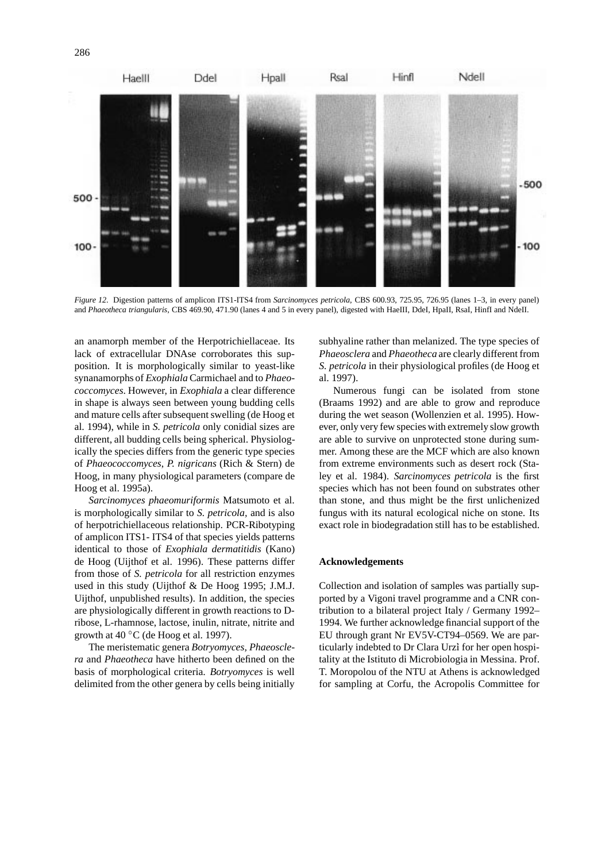

*Figure 12*. Digestion patterns of amplicon ITS1-ITS4 from *Sarcinomyces petricola*, CBS 600.93, 725.95, 726.95 (lanes 1–3, in every panel) and *Phaeotheca triangularis,* CBS 469.90, 471.90 (lanes 4 and 5 in every panel), digested with HaeIII, DdeI, HpaII, RsaI, HinfI and NdeII.

an anamorph member of the Herpotrichiellaceae. Its lack of extracellular DNAse corroborates this supposition. It is morphologically similar to yeast-like synanamorphs of *Exophiala* Carmichael and to *Phaeococcomyces*. However, in *Exophiala* a clear difference in shape is always seen between young budding cells and mature cells after subsequent swelling (de Hoog et al. 1994), while in *S. petricola* only conidial sizes are different, all budding cells being spherical. Physiologically the species differs from the generic type species of *Phaeococcomyces*, *P. nigricans* (Rich & Stern) de Hoog, in many physiological parameters (compare de Hoog et al. 1995a).

*Sarcinomyces phaeomuriformis* Matsumoto et al. is morphologically similar to *S. petricola,* and is also of herpotrichiellaceous relationship. PCR-Ribotyping of amplicon ITS1- ITS4 of that species yields patterns identical to those of *Exophiala dermatitidis* (Kano) de Hoog (Uijthof et al. 1996). These patterns differ from those of *S. petricola* for all restriction enzymes used in this study (Uijthof & De Hoog 1995; J.M.J. Uijthof, unpublished results). In addition, the species are physiologically different in growth reactions to Dribose, L-rhamnose, lactose, inulin, nitrate, nitrite and growth at  $40 °C$  (de Hoog et al. 1997).

The meristematic genera *Botryomyces, Phaeosclera* and *Phaeotheca* have hitherto been defined on the basis of morphological criteria. *Botryomyces* is well delimited from the other genera by cells being initially subhyaline rather than melanized. The type species of *Phaeosclera* and *Phaeotheca* are clearly different from *S. petricola* in their physiological profiles (de Hoog et al. 1997).

Numerous fungi can be isolated from stone (Braams 1992) and are able to grow and reproduce during the wet season (Wollenzien et al. 1995). However, only very few species with extremely slow growth are able to survive on unprotected stone during summer. Among these are the MCF which are also known from extreme environments such as desert rock (Staley et al. 1984). *Sarcinomyces petricola* is the first species which has not been found on substrates other than stone, and thus might be the first unlichenized fungus with its natural ecological niche on stone. Its exact role in biodegradation still has to be established.

#### **Acknowledgements**

Collection and isolation of samples was partially supported by a Vigoni travel programme and a CNR contribution to a bilateral project Italy / Germany 1992– 1994. We further acknowledge financial support of the EU through grant Nr EV5V-CT94–0569. We are particularly indebted to Dr Clara Urzì for her open hospitality at the Istituto di Microbiologia in Messina. Prof. T. Moropolou of the NTU at Athens is acknowledged for sampling at Corfu, the Acropolis Committee for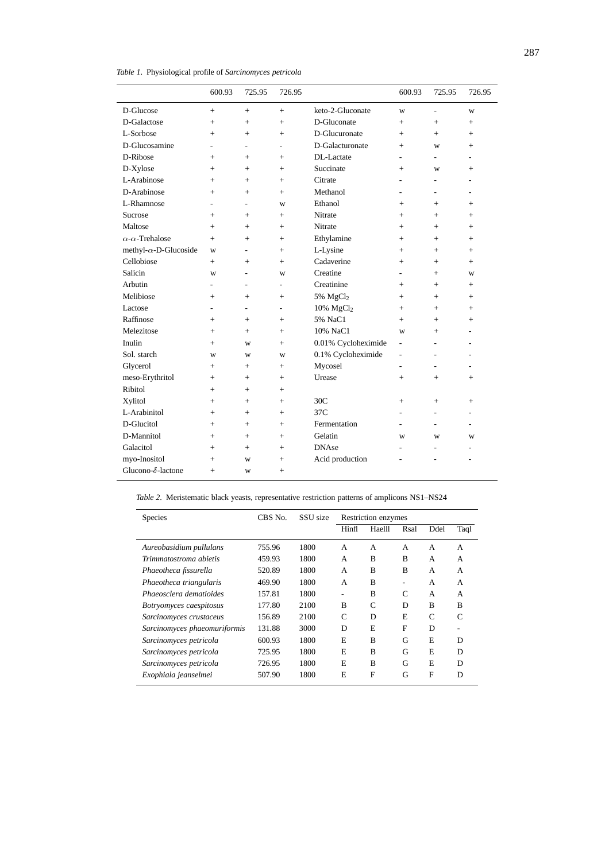*Table 1*. Physiological profile of *Sarcinomyces petricola*

|                                | 600.93 | 725.95                   | 726.95                       |                       | 600.93         | 725.95                   | 726.95                   |
|--------------------------------|--------|--------------------------|------------------------------|-----------------------|----------------|--------------------------|--------------------------|
| D-Glucose                      | $^{+}$ | $+$                      | $+$                          | keto-2-Gluconate      | W              | $\overline{a}$           | W                        |
| D-Galactose                    | $^{+}$ | $+$                      | $^{+}$                       | D-Gluconate           | $+$            | $^{+}$                   | $^{+}$                   |
| L-Sorbose                      | $^{+}$ | $^{+}$                   | $^{+}$                       | D-Glucuronate         | $+$            | $+$                      | $^{+}$                   |
| D-Glucosamine                  | L.     | $\overline{\phantom{0}}$ | $\qquad \qquad \blacksquare$ | D-Galacturonate       | $+$            | W                        | $+$                      |
| D-Ribose                       | $^{+}$ | $+$                      | $+$                          | DL-Lactate            |                | ÷                        | ÷                        |
| D-Xylose                       | $^{+}$ | $+$                      | $+$                          | Succinate             | $+$            | W                        | $+$                      |
| L-Arabinose                    | $^{+}$ | $^{+}$                   | $^{+}$                       | Citrate               |                | L,                       | $\overline{\phantom{a}}$ |
| D-Arabinose                    | $^{+}$ | $+$                      | $^{+}$                       | Methanol              | ä,             | $\overline{a}$           | $\overline{\phantom{a}}$ |
| L-Rhamnose                     | ۰      | $\overline{a}$           | W                            | Ethanol               | $+$            | $+$                      | $+$                      |
| Sucrose                        | $^{+}$ | $^{+}$                   | $+$                          | Nitrate               | $+$            | $+$                      | $+$                      |
| Maltose                        | $^{+}$ | $^{+}$                   | $+$                          | Nitrate               | $+$            | $+$                      | $+$                      |
| $\alpha$ - $\alpha$ -Trehalose | $+$    | $^{+}$                   | $^{+}$                       | Ethylamine            | $+$            | $^{+}$                   | $+$                      |
| methyl- $\alpha$ -D-Glucoside  | W      | $\overline{a}$           | $^{+}$                       | L-Lysine              | $^{+}$         | $^{+}$                   | $^{+}$                   |
| Cellobiose                     | $+$    | $^{+}$                   | $^{+}$                       | Cadaverine            | $+$            | $+$                      | $+$                      |
| Salicin                        | W      | $\overline{a}$           | W                            | Creatine              |                | $+$                      | W                        |
| Arbutin                        | L.     | $\overline{\phantom{0}}$ | $\overline{\phantom{0}}$     | Creatinine            | $+$            | $+$                      | $+$                      |
| Melibiose                      | $+$    | $+$                      | $^{+}$                       | 5% $MgCl2$            | $+$            | $+$                      | $+$                      |
| Lactose                        | ۰      | L.                       | $\overline{a}$               | $10\% \text{ MgCl}_2$ | $+$            | $+$                      | $+$                      |
| Raffinose                      | $^{+}$ | $+$                      | $^{+}$                       | 5% NaC1               | $+$            | $+$                      | $+$                      |
| Melezitose                     | $^{+}$ | $+$                      | $^{+}$                       | 10% NaC1              | W              | $+$                      | ÷.                       |
| Inulin                         | $^{+}$ | W                        | $^{+}$                       | 0.01% Cycloheximide   | L,             | ÷                        | $\overline{a}$           |
| Sol. starch                    | W      | W                        | W                            | 0.1% Cycloheximide    | $\overline{a}$ | $\overline{\phantom{a}}$ | $\overline{\phantom{a}}$ |
| Glycerol                       | $^{+}$ | $+$                      | $^{+}$                       | Mycosel               | ä,             | $\overline{\phantom{a}}$ | $\overline{\phantom{a}}$ |
| meso-Erythritol                | $^{+}$ | $+$                      | $+$                          | Urease                | $+$            | $+$                      | $+$                      |
| Ribitol                        | $^{+}$ | $+$                      | $+$                          |                       |                |                          |                          |
| Xylitol                        | $^{+}$ | $+$                      | $^{+}$                       | 30 <sub>C</sub>       | $^{+}$         | $^{+}$                   | $^{+}$                   |
| L-Arabinitol                   | $+$    | $+$                      | $^{+}$                       | 37C                   |                | $\overline{\phantom{a}}$ | $\overline{\phantom{a}}$ |
| D-Glucitol                     | $^{+}$ | $^{+}$                   | $^{+}$                       | Fermentation          | L,             | ÷,                       | $\overline{a}$           |
| D-Mannitol                     | $^{+}$ | $^{+}$                   | $^{+}$                       | Gelatin               | W              | W                        | W                        |
| Galacitol                      | $^{+}$ | $+$                      | $+$                          | <b>DNAse</b>          | ٠              | ÷                        | $\overline{\phantom{a}}$ |
| myo-Inositol                   | $^{+}$ | W                        | $^{+}$                       | Acid production       |                |                          | ÷,                       |
| Glucono- $\delta$ -lactone     | $^{+}$ | W                        | $^{+}$                       |                       |                |                          |                          |

*Table 2*. Meristematic black yeasts, representative restriction patterns of amplicons NS1–NS24

| <b>Species</b>               | CBS No. | SSU size | Restriction enzymes |        |      |               |                |
|------------------------------|---------|----------|---------------------|--------|------|---------------|----------------|
|                              |         |          | Hinfl               | Haelll | Rsal | Ddel          | Taql           |
| Aureobasidium pullulans      | 755.96  | 1800     | A                   | A      | A    | A             | $\overline{A}$ |
| Trimmatostroma abietis       | 459.93  | 1800     | A                   | B      | B    | A             | A              |
| Phaeotheca fissurella        | 520.89  | 1800     | A                   | B      | B    | A             | A              |
| Phaeotheca triangularis      | 469.90  | 1800     | A                   | B      | ۰    | A             | A              |
| Phaeosclera dematioides      | 157.81  | 1800     | $\overline{a}$      | B      | C    | A             | A              |
| Botryomyces caespitosus      | 177.80  | 2100     | B                   | C      | D    | B             | B              |
| Sarcinomyces crustaceus      | 156.89  | 2100     | $\mathcal{C}$       | D      | E    | $\mathcal{C}$ | C              |
| Sarcinomyces phaeomuriformis | 131.88  | 3000     | D                   | E      | F    | D             | ۰              |
| Sarcinomyces petricola       | 600.93  | 1800     | E                   | B      | G    | E             | D              |
| Sarcinomyces petricola       | 725.95  | 1800     | E                   | B      | G    | E             | D              |
| Sarcinomyces petricola       | 726.95  | 1800     | E                   | B      | G    | E             | D              |
| Exophiala jeanselmei         | 507.90  | 1800     | E                   | F      | G    | F             | D              |